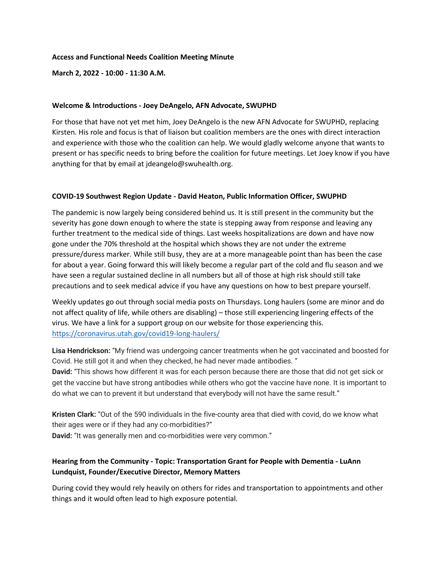### **Access and Functional Needs Coalition Meeting Minute**

**March 2, 2022 - 10:00 - 11:30 A.M.**

### **Welcome & Introductions - Joey DeAngelo, AFN Advocate, SWUPHD**

For those that have not yet met him, Joey DeAngelo is the new AFN Advocate for SWUPHD, replacing Kirsten. His role and focus is that of liaison but coalition members are the ones with direct interaction and experience with those who the coalition can help. We would gladly welcome anyone that wants to present or has specific needs to bring before the coalition for future meetings. Let Joey know if you have anything for that by email at jdeangelo@swuhealth.org.

## **COVID-19 Southwest Region Update - David Heaton, Public Information Officer, SWUPHD**

The pandemic is now largely being considered behind us. It is still present in the community but the severity has gone down enough to where the state is stepping away from response and leaving any further treatment to the medical side of things. Last weeks hospitalizations are down and have now gone under the 70% threshold at the hospital which shows they are not under the extreme pressure/duress marker. While still busy, they are at a more manageable point than has been the case for about a year. Going forward this will likely become a regular part of the cold and flu season and we have seen a regular sustained decline in all numbers but all of those at high risk should still take precautions and to seek medical advice if you have any questions on how to best prepare yourself.

Weekly updates go out through social media posts on Thursdays. Long haulers (some are minor and do not affect quality of life, while others are disabling) – those still experiencing lingering effects of the virus. We have a link for a support group on our website for those experiencing this. https://coronavirus.utah.gov/covid19-long-haulers/

**Lisa Hendrickson:** "My friend was undergoing cancer treatments when he got vaccinated and boosted for Covid. He still got it and when they checked, he had never made antibodies. "

**David:** "This shows how different it was for each person because there are those that did not get sick or get the vaccine but have strong antibodies while others who got the vaccine have none. It is important to do what we can to prevent it but understand that everybody will not have the same result."

**Kristen Clark:** "Out of the 590 individuals in the five-county area that died with covid, do we know what their ages were or if they had any co-morbidities?"

**David:** "It was generally men and co-morbidities were very common."

# **Hearing from the Community - Topic: Transportation Grant for People with Dementia - LuAnn Lundquist, Founder/Executive Director, Memory Matters**

During covid they would rely heavily on others for rides and transportation to appointments and other things and it would often lead to high exposure potential.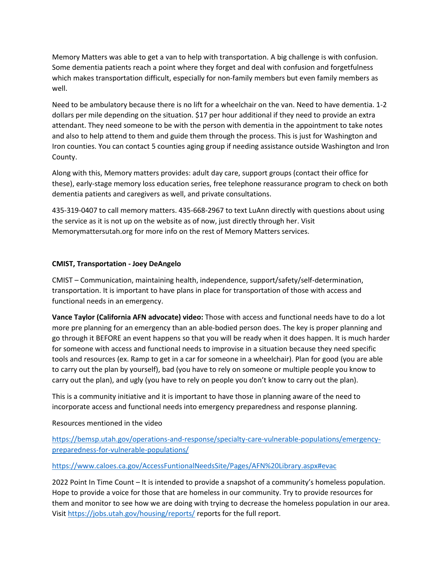Memory Matters was able to get a van to help with transportation. A big challenge is with confusion. Some dementia patients reach a point where they forget and deal with confusion and forgetfulness which makes transportation difficult, especially for non-family members but even family members as well.

Need to be ambulatory because there is no lift for a wheelchair on the van. Need to have dementia. 1-2 dollars per mile depending on the situation. \$17 per hour additional if they need to provide an extra attendant. They need someone to be with the person with dementia in the appointment to take notes and also to help attend to them and guide them through the process. This is just for Washington and Iron counties. You can contact 5 counties aging group if needing assistance outside Washington and Iron County.

Along with this, Memory matters provides: adult day care, support groups (contact their office for these), early-stage memory loss education series, free telephone reassurance program to check on both dementia patients and caregivers as well, and private consultations.

435-319-0407 to call memory matters. 435-668-2967 to text LuAnn directly with questions about using the service as it is not up on the website as of now, just directly through her. Visit Memorymattersutah.org for more info on the rest of Memory Matters services.

# **CMIST, Transportation - Joey DeAngelo**

CMIST – Communication, maintaining health, independence, support/safety/self-determination, transportation. It is important to have plans in place for transportation of those with access and functional needs in an emergency.

**Vance Taylor (California AFN advocate) video:** Those with access and functional needs have to do a lot more pre planning for an emergency than an able-bodied person does. The key is proper planning and go through it BEFORE an event happens so that you will be ready when it does happen. It is much harder for someone with access and functional needs to improvise in a situation because they need specific tools and resources (ex. Ramp to get in a car for someone in a wheelchair). Plan for good (you are able to carry out the plan by yourself), bad (you have to rely on someone or multiple people you know to carry out the plan), and ugly (you have to rely on people you don't know to carry out the plan).

This is a community initiative and it is important to have those in planning aware of the need to incorporate access and functional needs into emergency preparedness and response planning.

# Resources mentioned in the video

https://bemsp.utah.gov/operations-and-response/specialty-care-vulnerable-populations/emergencypreparedness-for-vulnerable-populations/

## https://www.caloes.ca.gov/AccessFuntionalNeedsSite/Pages/AFN%20Library.aspx#evac

2022 Point In Time Count – It is intended to provide a snapshot of a community's homeless population. Hope to provide a voice for those that are homeless in our community. Try to provide resources for them and monitor to see how we are doing with trying to decrease the homeless population in our area. Visit https://jobs.utah.gov/housing/reports/ reports for the full report.